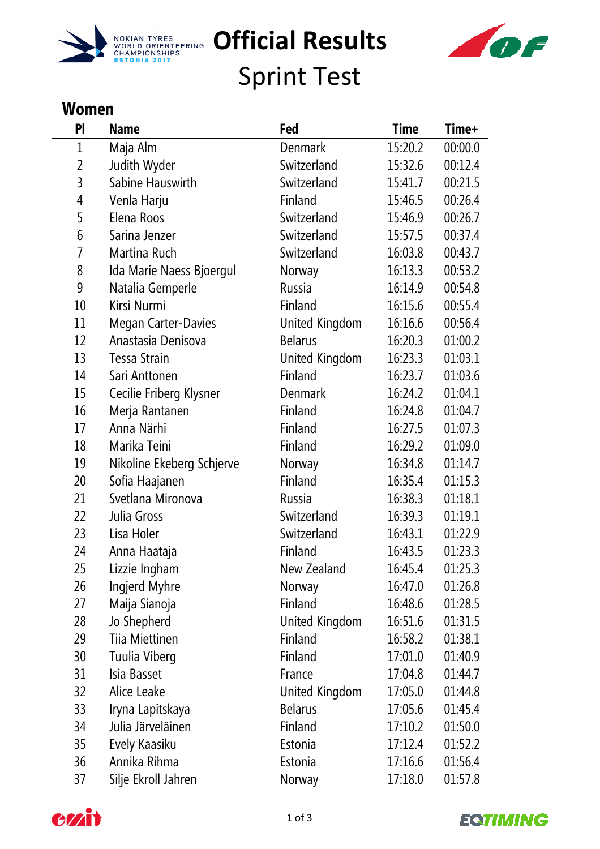



Sprint Test

## **Women**

| PI           | <b>Name</b>               | Fed            | <b>Time</b> | Time+   |
|--------------|---------------------------|----------------|-------------|---------|
| $\mathbf{1}$ | Maja Alm                  | <b>Denmark</b> | 15:20.2     | 00:00.0 |
| 2            | Judith Wyder              | Switzerland    | 15:32.6     | 00:12.4 |
| 3            | Sabine Hauswirth          | Switzerland    | 15:41.7     | 00:21.5 |
| 4            | Venla Harju               | Finland        | 15:46.5     | 00:26.4 |
| 5            | Elena Roos                | Switzerland    | 15:46.9     | 00:26.7 |
| 6            | Sarina Jenzer             | Switzerland    | 15:57.5     | 00:37.4 |
| 7            | Martina Ruch              | Switzerland    | 16:03.8     | 00:43.7 |
| 8            | Ida Marie Naess Bjoergul  | Norway         | 16:13.3     | 00:53.2 |
| 9            | Natalia Gemperle          | Russia         | 16:14.9     | 00:54.8 |
| 10           | Kirsi Nurmi               | Finland        | 16:15.6     | 00:55.4 |
| 11           | Megan Carter-Davies       | United Kingdom | 16:16.6     | 00:56.4 |
| 12           | Anastasia Denisova        | <b>Belarus</b> | 16:20.3     | 01:00.2 |
| 13           | Tessa Strain              | United Kingdom | 16:23.3     | 01:03.1 |
| 14           | Sari Anttonen             | Finland        | 16:23.7     | 01:03.6 |
| 15           | Cecilie Friberg Klysner   | <b>Denmark</b> | 16:24.2     | 01:04.1 |
| 16           | Merja Rantanen            | Finland        | 16:24.8     | 01:04.7 |
| 17           | Anna Närhi                | Finland        | 16:27.5     | 01:07.3 |
| 18           | Marika Teini              | Finland        | 16:29.2     | 01:09.0 |
| 19           | Nikoline Ekeberg Schjerve | Norway         | 16:34.8     | 01:14.7 |
| 20           | Sofia Haajanen            | Finland        | 16:35.4     | 01:15.3 |
| 21           | Svetlana Mironova         | Russia         | 16:38.3     | 01:18.1 |
| 22           | Julia Gross               | Switzerland    | 16:39.3     | 01:19.1 |
| 23           | Lisa Holer                | Switzerland    | 16:43.1     | 01:22.9 |
| 24           | Anna Haataja              | Finland        | 16:43.5     | 01:23.3 |
| 25           | Lizzie Ingham             | New Zealand    | 16:45.4     | 01:25.3 |
| 26           | Ingjerd Myhre             | Norway         | 16:47.0     | 01:26.8 |
| 27           | Maija Sianoja             | Finland        | 16:48.6     | 01:28.5 |
| 28           | Jo Shepherd               | United Kingdom | 16:51.6     | 01:31.5 |
| 29           | Tiia Miettinen            | Finland        | 16:58.2     | 01:38.1 |
| 30           | Tuulia Viberg             | Finland        | 17:01.0     | 01:40.9 |
| 31           | Isia Basset               | France         | 17:04.8     | 01:44.7 |
| 32           | Alice Leake               | United Kingdom | 17:05.0     | 01:44.8 |
| 33           | Iryna Lapitskaya          | <b>Belarus</b> | 17:05.6     | 01:45.4 |
| 34           | Julia Järveläinen         | Finland        | 17:10.2     | 01:50.0 |
| 35           | Evely Kaasiku             | Estonia        | 17:12.4     | 01:52.2 |
| 36           | Annika Rihma              | Estonia        | 17:16.6     | 01:56.4 |
| 37           | Silje Ekroll Jahren       | Norway         | 17:18.0     | 01:57.8 |



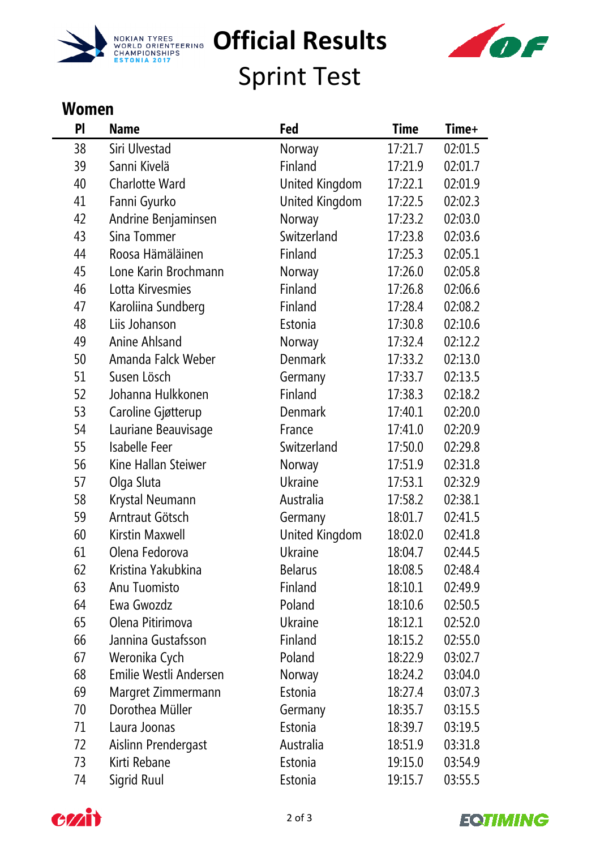



Sprint Test

## **Women**

| PI                | <b>Name</b>            | Fed            | <b>Time</b> | Time+   |
|-------------------|------------------------|----------------|-------------|---------|
| 38                | Siri Ulvestad          | Norway         | 17:21.7     | 02:01.5 |
| 39                | Sanni Kivelä           | Finland        | 17:21.9     | 02:01.7 |
| 40                | <b>Charlotte Ward</b>  | United Kingdom | 17:22.1     | 02:01.9 |
| 41                | Fanni Gyurko           | United Kingdom | 17:22.5     | 02:02.3 |
| 42                | Andrine Benjaminsen    | Norway         | 17:23.2     | 02:03.0 |
| 43                | Sina Tommer            | Switzerland    | 17:23.8     | 02:03.6 |
| 44                | Roosa Hämäläinen       | Finland        | 17:25.3     | 02:05.1 |
| 45                | Lone Karin Brochmann   | Norway         | 17:26.0     | 02:05.8 |
| 46                | Lotta Kirvesmies       | Finland        | 17:26.8     | 02:06.6 |
| 47                | Karoliina Sundberg     | Finland        | 17:28.4     | 02:08.2 |
| 48                | Liis Johanson          | Estonia        | 17:30.8     | 02:10.6 |
| 49                | Anine Ahlsand          | Norway         | 17:32.4     | 02:12.2 |
| 50                | Amanda Falck Weber     | <b>Denmark</b> | 17:33.2     | 02:13.0 |
| 51                | Susen Lösch            | Germany        | 17:33.7     | 02:13.5 |
| 52                | Johanna Hulkkonen      | Finland        | 17:38.3     | 02:18.2 |
| 53                | Caroline Gjøtterup     | <b>Denmark</b> | 17:40.1     | 02:20.0 |
| 54                | Lauriane Beauvisage    | France         | 17:41.0     | 02:20.9 |
| 55                | Isabelle Feer          | Switzerland    | 17:50.0     | 02:29.8 |
| 56                | Kine Hallan Steiwer    | Norway         | 17:51.9     | 02:31.8 |
| 57                | Olga Sluta             | <b>Ukraine</b> | 17:53.1     | 02:32.9 |
| 58                | Krystal Neumann        | Australia      | 17:58.2     | 02:38.1 |
| 59                | Arntraut Götsch        | Germany        | 18:01.7     | 02:41.5 |
| 60                | Kirstin Maxwell        | United Kingdom | 18:02.0     | 02:41.8 |
| 61                | Olena Fedorova         | <b>Ukraine</b> | 18:04.7     | 02:44.5 |
| 62                | Kristina Yakubkina     | <b>Belarus</b> | 18:08.5     | 02:48.4 |
| 63                | Anu Tuomisto           | Finland        | 18:10.1     | 02:49.9 |
| 64                | Ewa Gwozdz             | Poland         | 18:10.6     | 02:50.5 |
| 65                | Olena Pitirimova       | <b>Ukraine</b> | 18:12.1     | 02:52.0 |
| 66                | Jannina Gustafsson     | Finland        | 18:15.2     | 02:55.0 |
| 67                | Weronika Cych          | Poland         | 18:22.9     | 03:02.7 |
| 68                | Emilie Westli Andersen | Norway         | 18:24.2     | 03:04.0 |
| 69                | Margret Zimmermann     | Estonia        | 18:27.4     | 03:07.3 |
| 70                | Dorothea Müller        | Germany        | 18:35.7     | 03:15.5 |
| 71                | Laura Joonas           | Estonia        | 18:39.7     | 03:19.5 |
| $72 \overline{ }$ | Aislinn Prendergast    | Australia      | 18:51.9     | 03:31.8 |
| 73                | Kirti Rebane           | Estonia        | 19:15.0     | 03:54.9 |
| 74                | Sigrid Ruul            | Estonia        | 19:15.7     | 03:55.5 |